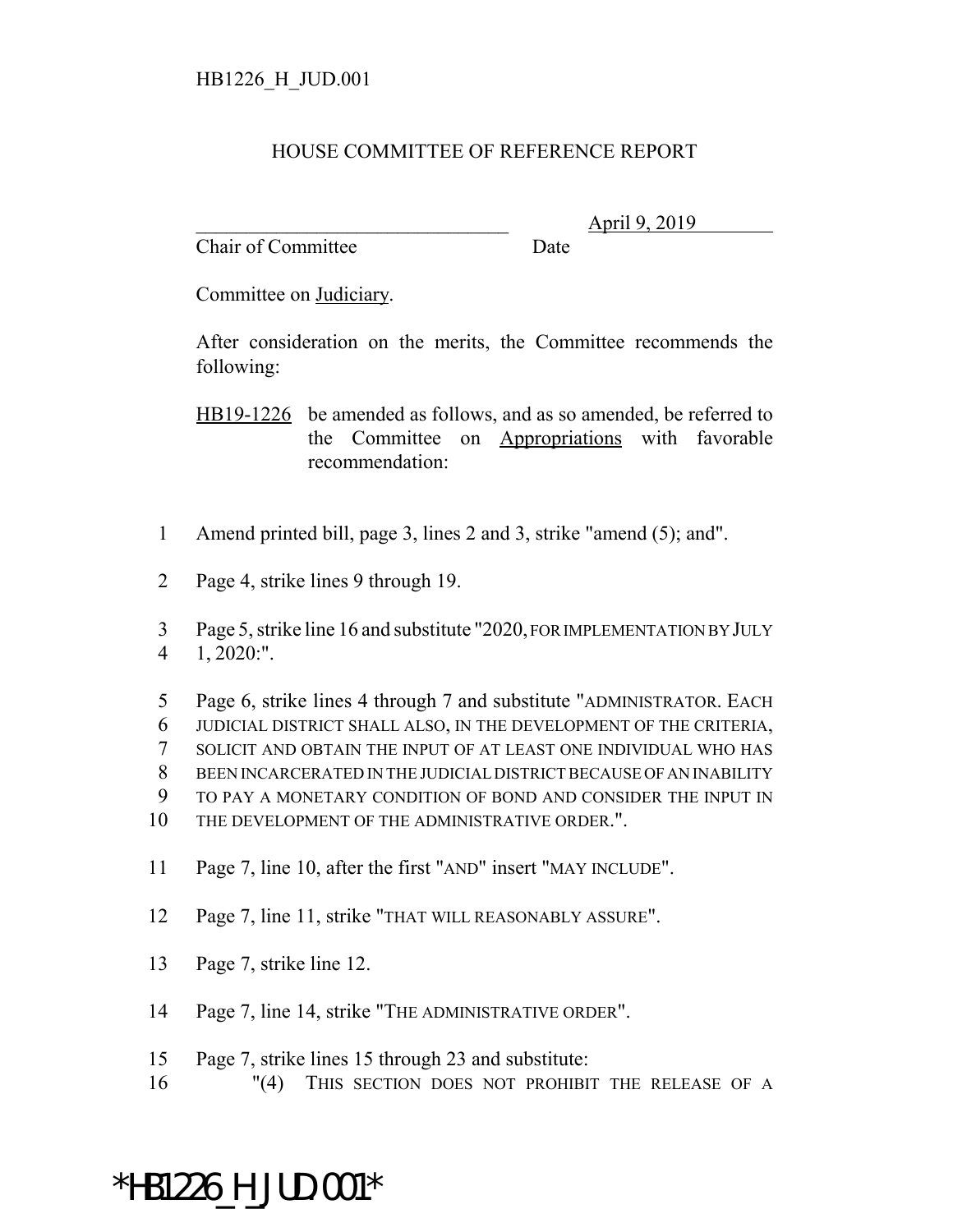## HOUSE COMMITTEE OF REFERENCE REPORT

Chair of Committee Date

\_\_\_\_\_\_\_\_\_\_\_\_\_\_\_\_\_\_\_\_\_\_\_\_\_\_\_\_\_\_\_ April 9, 2019

Committee on Judiciary.

After consideration on the merits, the Committee recommends the following:

HB19-1226 be amended as follows, and as so amended, be referred to the Committee on Appropriations with favorable recommendation:

- 1 Amend printed bill, page 3, lines 2 and 3, strike "amend (5); and".
- 2 Page 4, strike lines 9 through 19.

3 Page 5, strike line 16 and substitute "2020, FOR IMPLEMENTATION BY JULY 4 1, 2020:".

 Page 6, strike lines 4 through 7 and substitute "ADMINISTRATOR. EACH JUDICIAL DISTRICT SHALL ALSO, IN THE DEVELOPMENT OF THE CRITERIA, SOLICIT AND OBTAIN THE INPUT OF AT LEAST ONE INDIVIDUAL WHO HAS BEEN INCARCERATED IN THE JUDICIAL DISTRICT BECAUSE OF AN INABILITY TO PAY A MONETARY CONDITION OF BOND AND CONSIDER THE INPUT IN THE DEVELOPMENT OF THE ADMINISTRATIVE ORDER.".

- 11 Page 7, line 10, after the first "AND" insert "MAY INCLUDE".
- 12 Page 7, line 11, strike "THAT WILL REASONABLY ASSURE".
- 13 Page 7, strike line 12.
- 14 Page 7, line 14, strike "THE ADMINISTRATIVE ORDER".
- 15 Page 7, strike lines 15 through 23 and substitute:
- 16 "(4) THIS SECTION DOES NOT PROHIBIT THE RELEASE OF A

## \*HB1226\_H\_JUD.001\*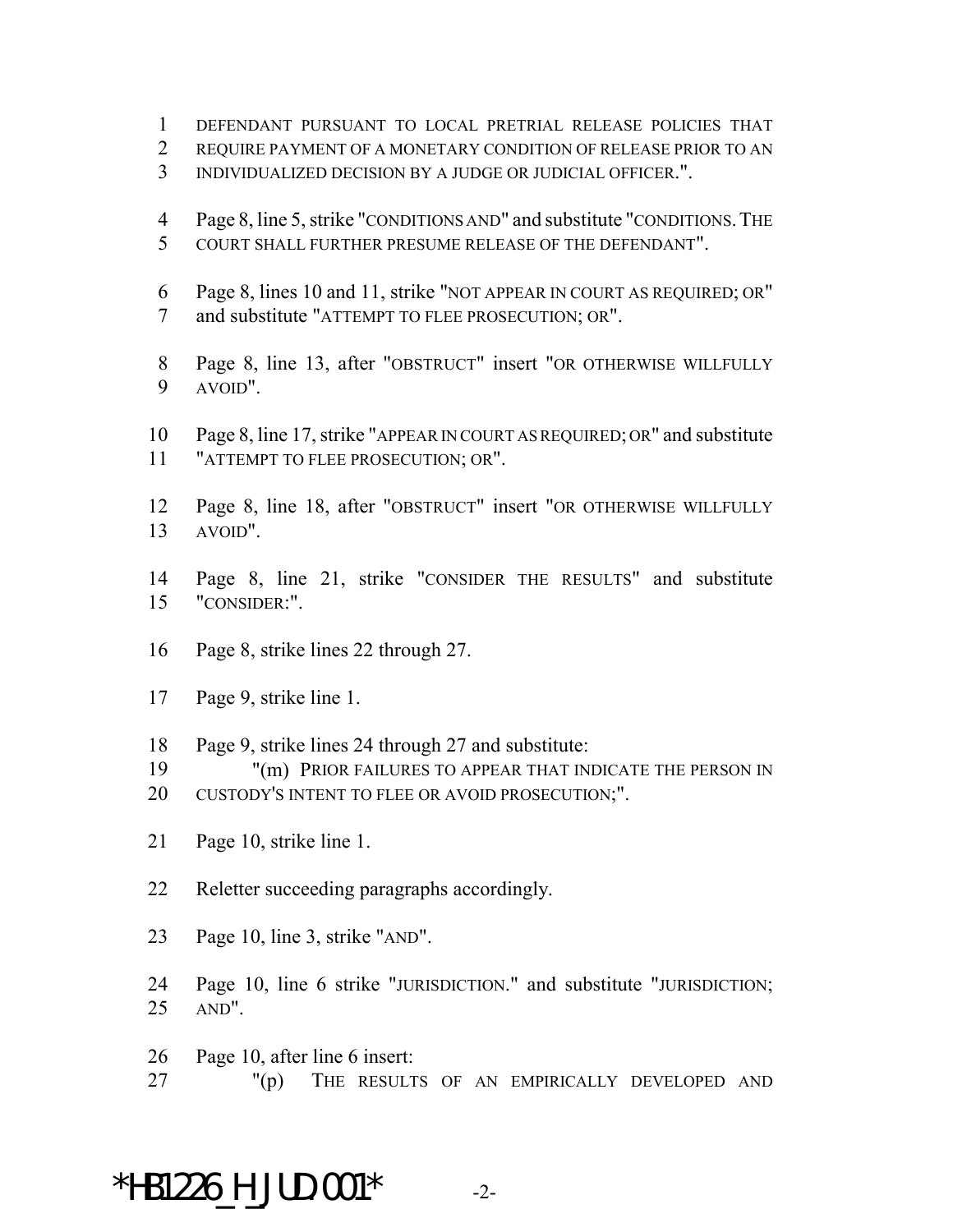- DEFENDANT PURSUANT TO LOCAL PRETRIAL RELEASE POLICIES THAT
- REQUIRE PAYMENT OF A MONETARY CONDITION OF RELEASE PRIOR TO AN
- INDIVIDUALIZED DECISION BY A JUDGE OR JUDICIAL OFFICER.".
- Page 8, line 5, strike "CONDITIONS AND" and substitute "CONDITIONS.THE COURT SHALL FURTHER PRESUME RELEASE OF THE DEFENDANT".
- Page 8, lines 10 and 11, strike "NOT APPEAR IN COURT AS REQUIRED; OR" and substitute "ATTEMPT TO FLEE PROSECUTION; OR".
- Page 8, line 13, after "OBSTRUCT" insert "OR OTHERWISE WILLFULLY AVOID".
- Page 8, line 17, strike "APPEAR IN COURT AS REQUIRED; OR" and substitute "ATTEMPT TO FLEE PROSECUTION; OR".
- Page 8, line 18, after "OBSTRUCT" insert "OR OTHERWISE WILLFULLY AVOID".
- Page 8, line 21, strike "CONSIDER THE RESULTS" and substitute "CONSIDER:".
- Page 8, strike lines 22 through 27.
- Page 9, strike line 1.
- Page 9, strike lines 24 through 27 and substitute:
- "(m) PRIOR FAILURES TO APPEAR THAT INDICATE THE PERSON IN
- 20 CUSTODY'S INTENT TO FLEE OR AVOID PROSECUTION;".
- Page 10, strike line 1.
- Reletter succeeding paragraphs accordingly.
- Page 10, line 3, strike "AND".
- Page 10, line 6 strike "JURISDICTION." and substitute "JURISDICTION; AND".
- Page 10, after line 6 insert:
- "(p) THE RESULTS OF AN EMPIRICALLY DEVELOPED AND

## \*HB1226 H JUD.001\*  $-2$ -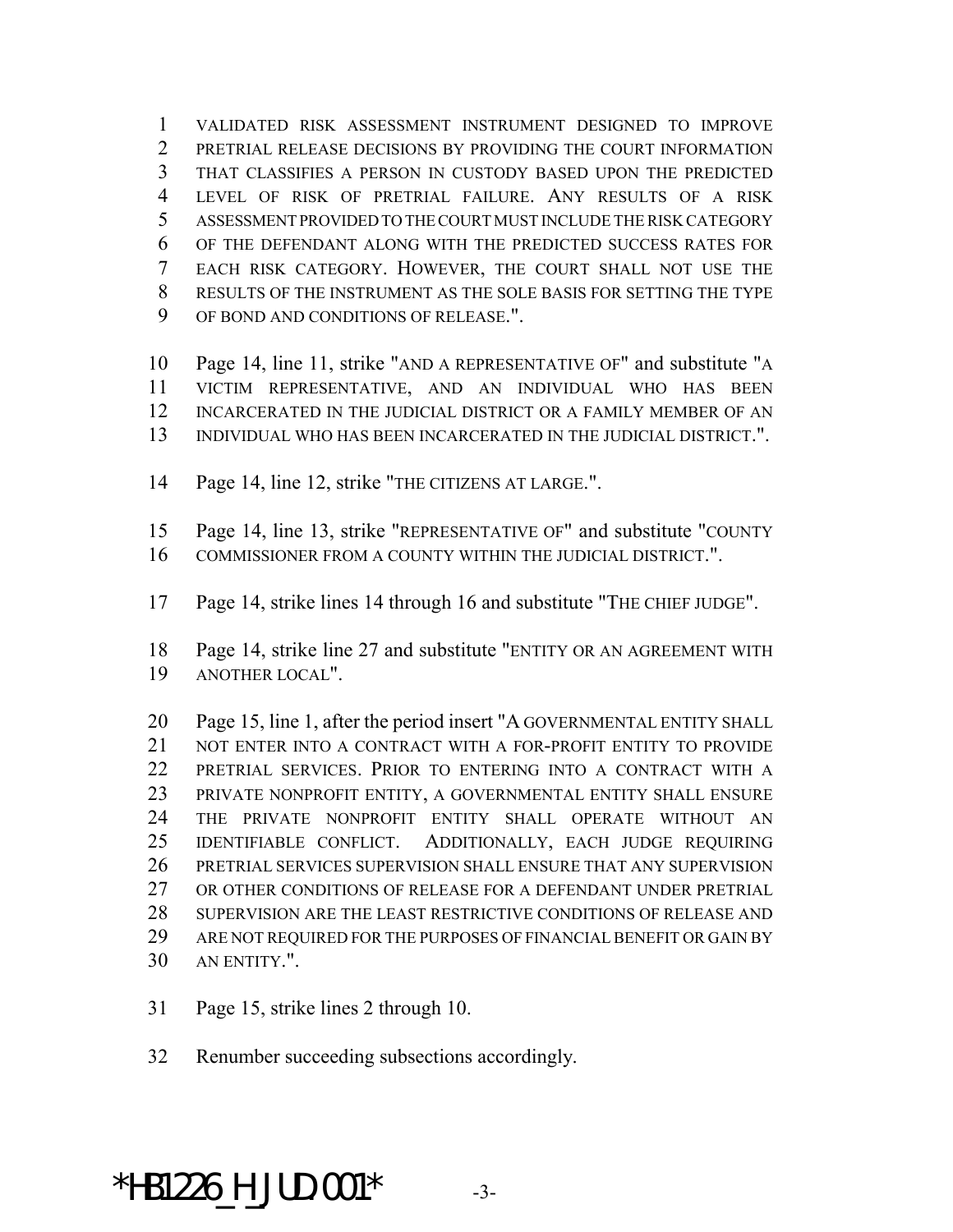VALIDATED RISK ASSESSMENT INSTRUMENT DESIGNED TO IMPROVE PRETRIAL RELEASE DECISIONS BY PROVIDING THE COURT INFORMATION THAT CLASSIFIES A PERSON IN CUSTODY BASED UPON THE PREDICTED LEVEL OF RISK OF PRETRIAL FAILURE. ANY RESULTS OF A RISK ASSESSMENT PROVIDED TO THE COURT MUST INCLUDE THE RISK CATEGORY OF THE DEFENDANT ALONG WITH THE PREDICTED SUCCESS RATES FOR EACH RISK CATEGORY. HOWEVER, THE COURT SHALL NOT USE THE RESULTS OF THE INSTRUMENT AS THE SOLE BASIS FOR SETTING THE TYPE OF BOND AND CONDITIONS OF RELEASE.".

 Page 14, line 11, strike "AND A REPRESENTATIVE OF" and substitute "A VICTIM REPRESENTATIVE, AND AN INDIVIDUAL WHO HAS BEEN INCARCERATED IN THE JUDICIAL DISTRICT OR A FAMILY MEMBER OF AN INDIVIDUAL WHO HAS BEEN INCARCERATED IN THE JUDICIAL DISTRICT.".

Page 14, line 12, strike "THE CITIZENS AT LARGE.".

 Page 14, line 13, strike "REPRESENTATIVE OF" and substitute "COUNTY COMMISSIONER FROM A COUNTY WITHIN THE JUDICIAL DISTRICT.".

Page 14, strike lines 14 through 16 and substitute "THE CHIEF JUDGE".

 Page 14, strike line 27 and substitute "ENTITY OR AN AGREEMENT WITH ANOTHER LOCAL".

 Page 15, line 1, after the period insert "A GOVERNMENTAL ENTITY SHALL 21 NOT ENTER INTO A CONTRACT WITH A FOR-PROFIT ENTITY TO PROVIDE PRETRIAL SERVICES. PRIOR TO ENTERING INTO A CONTRACT WITH A PRIVATE NONPROFIT ENTITY, A GOVERNMENTAL ENTITY SHALL ENSURE THE PRIVATE NONPROFIT ENTITY SHALL OPERATE WITHOUT AN IDENTIFIABLE CONFLICT. ADDITIONALLY, EACH JUDGE REQUIRING PRETRIAL SERVICES SUPERVISION SHALL ENSURE THAT ANY SUPERVISION OR OTHER CONDITIONS OF RELEASE FOR A DEFENDANT UNDER PRETRIAL SUPERVISION ARE THE LEAST RESTRICTIVE CONDITIONS OF RELEASE AND 29 ARE NOT REQUIRED FOR THE PURPOSES OF FINANCIAL BENEFIT OR GAIN BY AN ENTITY.".

Page 15, strike lines 2 through 10.

Renumber succeeding subsections accordingly.

## $*$ HB1226 H JUD.001 $*$  -3-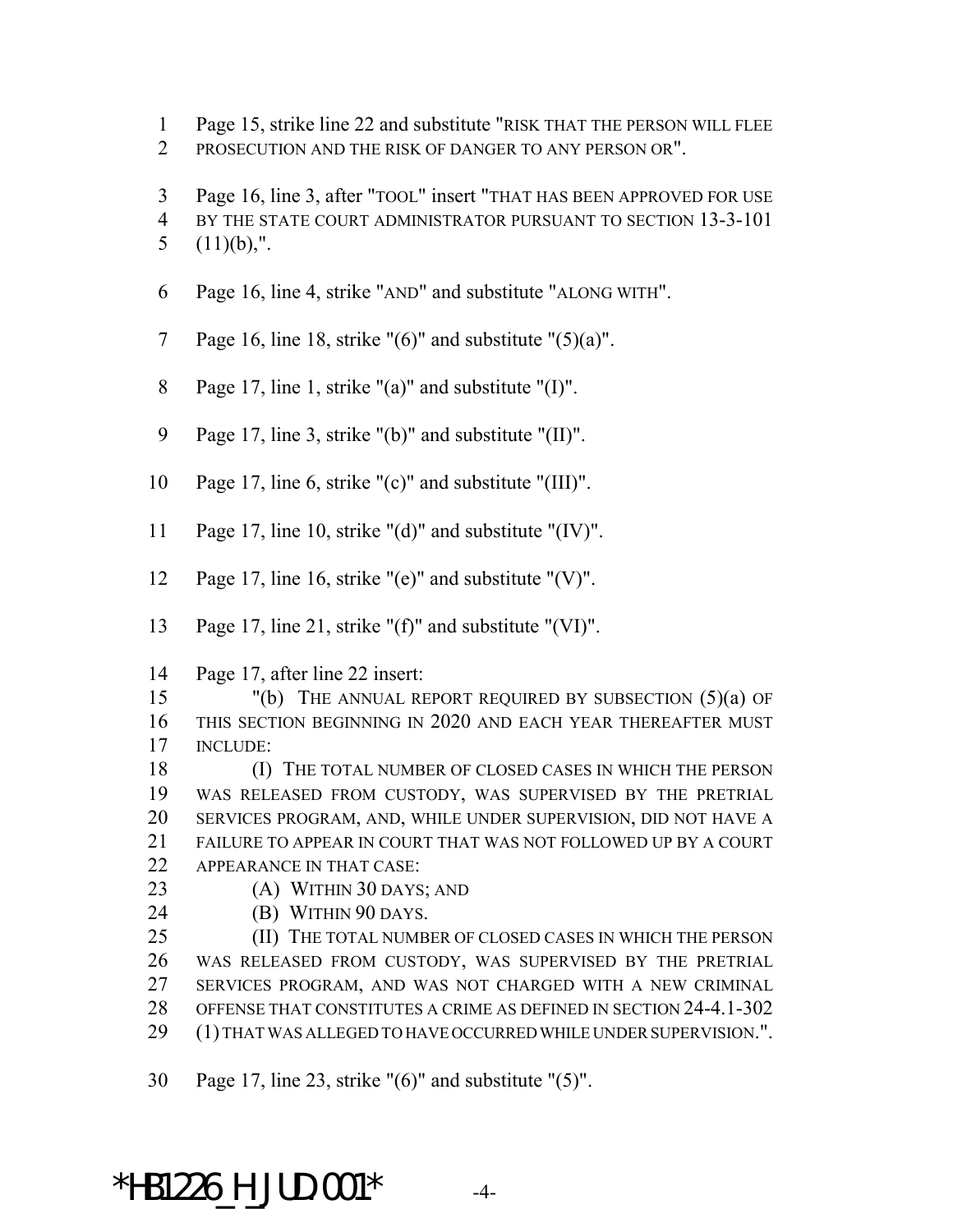- Page 15, strike line 22 and substitute "RISK THAT THE PERSON WILL FLEE
- PROSECUTION AND THE RISK OF DANGER TO ANY PERSON OR".
- Page 16, line 3, after "TOOL" insert "THAT HAS BEEN APPROVED FOR USE BY THE STATE COURT ADMINISTRATOR PURSUANT TO SECTION 13-3-101 5  $(11)(b)$ ,".
- Page 16, line 4, strike "AND" and substitute "ALONG WITH".
- 7 Page 16, line 18, strike " $(6)$ " and substitute " $(5)(a)$ ".
- Page 17, line 1, strike "(a)" and substitute "(I)".
- Page 17, line 3, strike "(b)" and substitute "(II)".
- Page 17, line 6, strike "(c)" and substitute "(III)".
- Page 17, line 10, strike "(d)" and substitute "(IV)".
- Page 17, line 16, strike "(e)" and substitute "(V)".
- Page 17, line 21, strike "(f)" and substitute "(VI)".
- Page 17, after line 22 insert:

 "(b) THE ANNUAL REPORT REQUIRED BY SUBSECTION (5)(a) OF THIS SECTION BEGINNING IN 2020 AND EACH YEAR THEREAFTER MUST INCLUDE:

 (I) THE TOTAL NUMBER OF CLOSED CASES IN WHICH THE PERSON WAS RELEASED FROM CUSTODY, WAS SUPERVISED BY THE PRETRIAL SERVICES PROGRAM, AND, WHILE UNDER SUPERVISION, DID NOT HAVE A FAILURE TO APPEAR IN COURT THAT WAS NOT FOLLOWED UP BY A COURT APPEARANCE IN THAT CASE:

- (A) WITHIN 30 DAYS; AND
- (B) WITHIN 90 DAYS.

 (II) THE TOTAL NUMBER OF CLOSED CASES IN WHICH THE PERSON WAS RELEASED FROM CUSTODY, WAS SUPERVISED BY THE PRETRIAL SERVICES PROGRAM, AND WAS NOT CHARGED WITH A NEW CRIMINAL OFFENSE THAT CONSTITUTES A CRIME AS DEFINED IN SECTION 24-4.1-302 (1) THAT WAS ALLEGED TO HAVE OCCURRED WHILE UNDER SUPERVISION.".

Page 17, line 23, strike "(6)" and substitute "(5)".

 $*$ HB1226 H JUD.001 $*$  -4-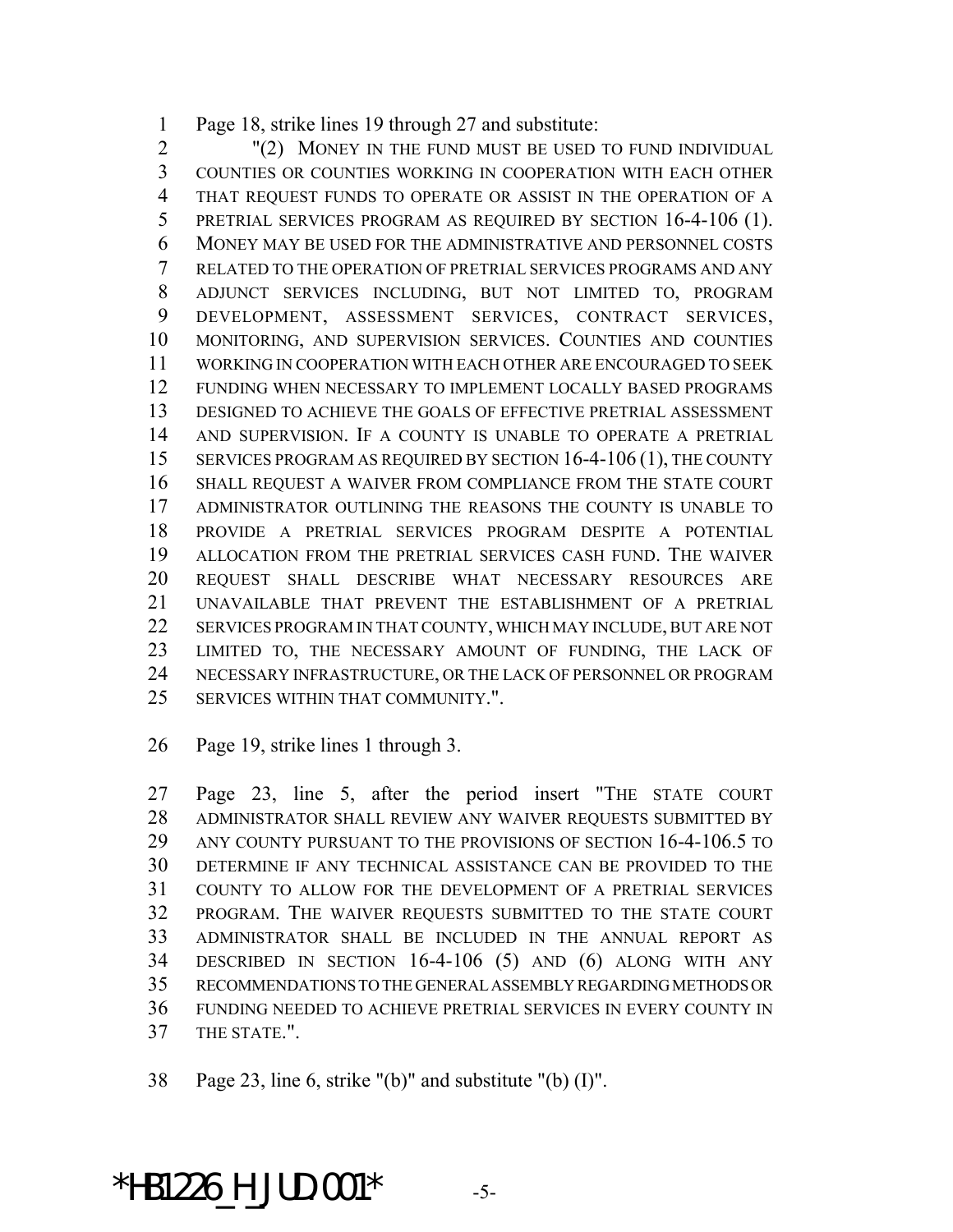Page 18, strike lines 19 through 27 and substitute:

 "(2) MONEY IN THE FUND MUST BE USED TO FUND INDIVIDUAL COUNTIES OR COUNTIES WORKING IN COOPERATION WITH EACH OTHER THAT REQUEST FUNDS TO OPERATE OR ASSIST IN THE OPERATION OF A PRETRIAL SERVICES PROGRAM AS REQUIRED BY SECTION 16-4-106 (1). MONEY MAY BE USED FOR THE ADMINISTRATIVE AND PERSONNEL COSTS RELATED TO THE OPERATION OF PRETRIAL SERVICES PROGRAMS AND ANY ADJUNCT SERVICES INCLUDING, BUT NOT LIMITED TO, PROGRAM DEVELOPMENT, ASSESSMENT SERVICES, CONTRACT SERVICES, MONITORING, AND SUPERVISION SERVICES. COUNTIES AND COUNTIES WORKING IN COOPERATION WITH EACH OTHER ARE ENCOURAGED TO SEEK FUNDING WHEN NECESSARY TO IMPLEMENT LOCALLY BASED PROGRAMS DESIGNED TO ACHIEVE THE GOALS OF EFFECTIVE PRETRIAL ASSESSMENT AND SUPERVISION. IF A COUNTY IS UNABLE TO OPERATE A PRETRIAL 15 SERVICES PROGRAM AS REQUIRED BY SECTION 16-4-106 (1), THE COUNTY SHALL REQUEST A WAIVER FROM COMPLIANCE FROM THE STATE COURT ADMINISTRATOR OUTLINING THE REASONS THE COUNTY IS UNABLE TO PROVIDE A PRETRIAL SERVICES PROGRAM DESPITE A POTENTIAL ALLOCATION FROM THE PRETRIAL SERVICES CASH FUND. THE WAIVER REQUEST SHALL DESCRIBE WHAT NECESSARY RESOURCES ARE UNAVAILABLE THAT PREVENT THE ESTABLISHMENT OF A PRETRIAL SERVICES PROGRAM IN THAT COUNTY, WHICH MAY INCLUDE, BUT ARE NOT LIMITED TO, THE NECESSARY AMOUNT OF FUNDING, THE LACK OF NECESSARY INFRASTRUCTURE, OR THE LACK OF PERSONNEL OR PROGRAM SERVICES WITHIN THAT COMMUNITY.".

Page 19, strike lines 1 through 3.

 Page 23, line 5, after the period insert "THE STATE COURT ADMINISTRATOR SHALL REVIEW ANY WAIVER REQUESTS SUBMITTED BY ANY COUNTY PURSUANT TO THE PROVISIONS OF SECTION 16-4-106.5 TO DETERMINE IF ANY TECHNICAL ASSISTANCE CAN BE PROVIDED TO THE COUNTY TO ALLOW FOR THE DEVELOPMENT OF A PRETRIAL SERVICES PROGRAM. THE WAIVER REQUESTS SUBMITTED TO THE STATE COURT ADMINISTRATOR SHALL BE INCLUDED IN THE ANNUAL REPORT AS DESCRIBED IN SECTION 16-4-106 (5) AND (6) ALONG WITH ANY RECOMMENDATIONS TO THE GENERAL ASSEMBLY REGARDING METHODS OR FUNDING NEEDED TO ACHIEVE PRETRIAL SERVICES IN EVERY COUNTY IN THE STATE.".

Page 23, line 6, strike "(b)" and substitute "(b) (I)".

\*HB1226 H JUD.001\*  $-5$ -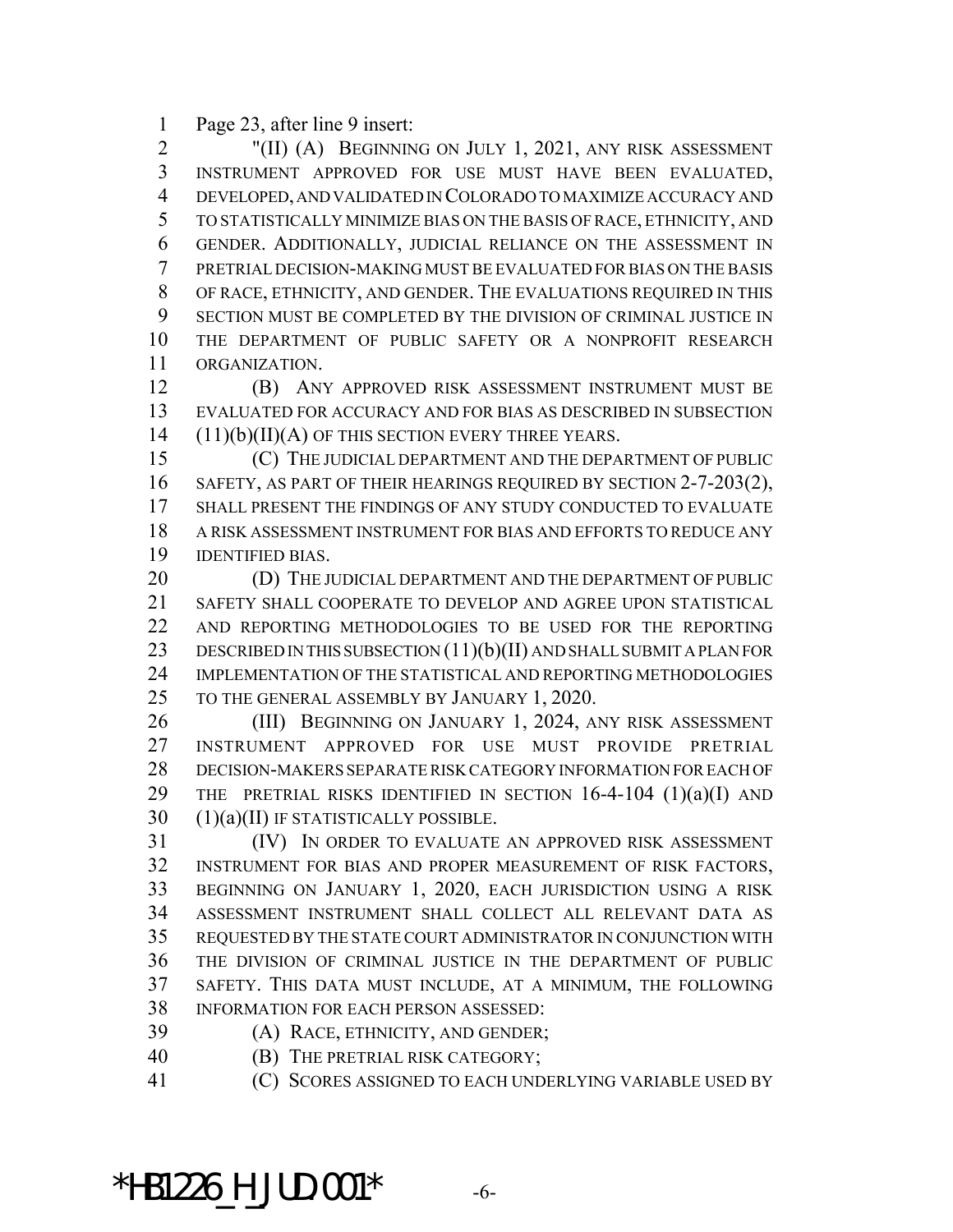Page 23, after line 9 insert:

 "(II) (A) BEGINNING ON JULY 1, 2021, ANY RISK ASSESSMENT INSTRUMENT APPROVED FOR USE MUST HAVE BEEN EVALUATED, DEVELOPED, AND VALIDATED IN COLORADO TO MAXIMIZE ACCURACY AND TO STATISTICALLY MINIMIZE BIAS ON THE BASIS OF RACE, ETHNICITY, AND GENDER. ADDITIONALLY, JUDICIAL RELIANCE ON THE ASSESSMENT IN PRETRIAL DECISION-MAKING MUST BE EVALUATED FOR BIAS ON THE BASIS OF RACE, ETHNICITY, AND GENDER. THE EVALUATIONS REQUIRED IN THIS SECTION MUST BE COMPLETED BY THE DIVISION OF CRIMINAL JUSTICE IN THE DEPARTMENT OF PUBLIC SAFETY OR A NONPROFIT RESEARCH ORGANIZATION.

 (B) ANY APPROVED RISK ASSESSMENT INSTRUMENT MUST BE EVALUATED FOR ACCURACY AND FOR BIAS AS DESCRIBED IN SUBSECTION (11)(b)(II)(A) OF THIS SECTION EVERY THREE YEARS.

 (C) THE JUDICIAL DEPARTMENT AND THE DEPARTMENT OF PUBLIC 16 SAFETY, AS PART OF THEIR HEARINGS REQUIRED BY SECTION 2-7-203(2), SHALL PRESENT THE FINDINGS OF ANY STUDY CONDUCTED TO EVALUATE A RISK ASSESSMENT INSTRUMENT FOR BIAS AND EFFORTS TO REDUCE ANY IDENTIFIED BIAS.

20 (D) THE JUDICIAL DEPARTMENT AND THE DEPARTMENT OF PUBLIC SAFETY SHALL COOPERATE TO DEVELOP AND AGREE UPON STATISTICAL AND REPORTING METHODOLOGIES TO BE USED FOR THE REPORTING 23 DESCRIBED IN THIS SUBSECTION  $(11)(b)(II)$  and shall submit a plan for IMPLEMENTATION OF THE STATISTICAL AND REPORTING METHODOLOGIES TO THE GENERAL ASSEMBLY BY JANUARY 1, 2020.

 (III) BEGINNING ON JANUARY 1, 2024, ANY RISK ASSESSMENT INSTRUMENT APPROVED FOR USE MUST PROVIDE PRETRIAL DECISION-MAKERS SEPARATE RISK CATEGORY INFORMATION FOR EACH OF 29 THE PRETRIAL RISKS IDENTIFIED IN SECTION  $16-4-104$   $(1)(a)(I)$  and (1)(a)(II) IF STATISTICALLY POSSIBLE.

 (IV) IN ORDER TO EVALUATE AN APPROVED RISK ASSESSMENT INSTRUMENT FOR BIAS AND PROPER MEASUREMENT OF RISK FACTORS, BEGINNING ON JANUARY 1, 2020, EACH JURISDICTION USING A RISK ASSESSMENT INSTRUMENT SHALL COLLECT ALL RELEVANT DATA AS REQUESTED BY THE STATE COURT ADMINISTRATOR IN CONJUNCTION WITH THE DIVISION OF CRIMINAL JUSTICE IN THE DEPARTMENT OF PUBLIC SAFETY. THIS DATA MUST INCLUDE, AT A MINIMUM, THE FOLLOWING INFORMATION FOR EACH PERSON ASSESSED:

(A) RACE, ETHNICITY, AND GENDER;

(B) THE PRETRIAL RISK CATEGORY;

(C) SCORES ASSIGNED TO EACH UNDERLYING VARIABLE USED BY

 $*$ HB1226 H JUD.001 $*$  -6-